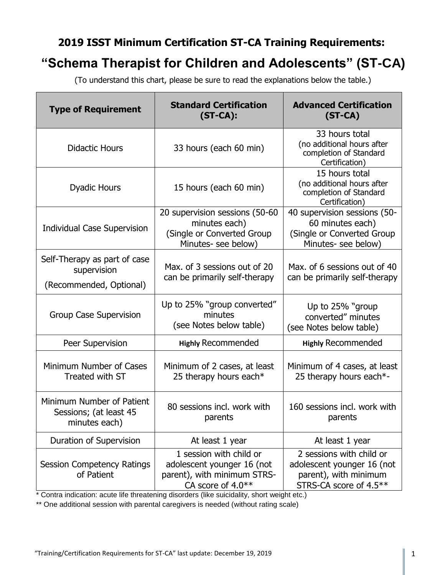## **2019 ISST Minimum Certification ST-CA Training Requirements:**

# **"Schema Therapist for Children and Adolescents" (ST-CA)**

(To understand this chart, please be sure to read the explanations below the table.)

| <b>Type of Requirement</b>                                             | <b>Standard Certification</b><br>$(ST-CA)$ :                                                              | <b>Advanced Certification</b><br>$(ST-CA)$                                                                |
|------------------------------------------------------------------------|-----------------------------------------------------------------------------------------------------------|-----------------------------------------------------------------------------------------------------------|
| <b>Didactic Hours</b>                                                  | 33 hours (each 60 min)                                                                                    | 33 hours total<br>(no additional hours after<br>completion of Standard<br>Certification)                  |
| <b>Dyadic Hours</b>                                                    | 15 hours (each 60 min)                                                                                    | 15 hours total<br>(no additional hours after<br>completion of Standard<br>Certification)                  |
| <b>Individual Case Supervision</b>                                     | 20 supervision sessions (50-60<br>minutes each)<br>(Single or Converted Group<br>Minutes- see below)      | 40 supervision sessions (50-<br>60 minutes each)<br>(Single or Converted Group<br>Minutes- see below)     |
| Self-Therapy as part of case<br>supervision<br>(Recommended, Optional) | Max. of 3 sessions out of 20<br>can be primarily self-therapy                                             | Max. of 6 sessions out of 40<br>can be primarily self-therapy                                             |
| <b>Group Case Supervision</b>                                          | Up to 25% "group converted"<br>minutes<br>(see Notes below table)                                         | Up to 25% "group"<br>converted" minutes<br>(see Notes below table)                                        |
| Peer Supervision                                                       | <b>Highly Recommended</b>                                                                                 | <b>Highly Recommended</b>                                                                                 |
| Minimum Number of Cases<br>Treated with ST                             | Minimum of 2 cases, at least<br>25 therapy hours each*                                                    | Minimum of 4 cases, at least<br>25 therapy hours each*-                                                   |
| Minimum Number of Patient<br>Sessions; (at least 45<br>minutes each)   | 80 sessions incl. work with<br>parents                                                                    | 160 sessions incl. work with<br>parents                                                                   |
| Duration of Supervision                                                | At least 1 year                                                                                           | At least 1 year                                                                                           |
| <b>Session Competency Ratings</b><br>of Patient                        | 1 session with child or<br>adolescent younger 16 (not<br>parent), with minimum STRS-<br>CA score of 4.0** | 2 sessions with child or<br>adolescent younger 16 (not<br>parent), with minimum<br>STRS-CA score of 4.5** |

\* Contra indication: acute life threatening disorders (like suicidality, short weight etc.)

\*\* One additional session with parental caregivers is needed (without rating scale)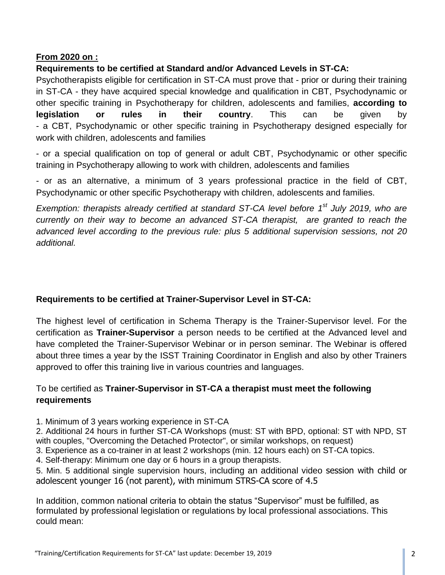## **From 2020 on :**

## **Requirements to be certified at Standard and/or Advanced Levels in ST-CA:**

Psychotherapists eligible for certification in ST-CA must prove that - prior or during their training in ST-CA - they have acquired special knowledge and qualification in CBT, Psychodynamic or other specific training in Psychotherapy for children, adolescents and families, **according to legislation or rules in their country**. This can be given by - a CBT, Psychodynamic or other specific training in Psychotherapy designed especially for work with children, adolescents and families

- or a special qualification on top of general or adult CBT, Psychodynamic or other specific training in Psychotherapy allowing to work with children, adolescents and families

- or as an alternative, a minimum of 3 years professional practice in the field of CBT, Psychodynamic or other specific Psychotherapy with children, adolescents and families.

*Exemption: therapists already certified at standard ST-CA level before 1st July 2019, who are currently on their way to become an advanced ST-CA therapist, are granted to reach the advanced level according to the previous rule: plus 5 additional supervision sessions, not 20 additional.* 

## **Requirements to be certified at Trainer-Supervisor Level in ST-CA:**

The highest level of certification in Schema Therapy is the Trainer-Supervisor level. For the certification as **Trainer-Supervisor** a person needs to be certified at the Advanced level and have completed the Trainer-Supervisor Webinar or in person seminar. The Webinar is offered about three times a year by the ISST Training Coordinator in English and also by other Trainers approved to offer this training live in various countries and languages.

## To be certified as **Trainer-Supervisor in ST-CA a therapist must meet the following requirements**

1. Minimum of 3 years working experience in ST-CA

2. Additional 24 hours in further ST-CA Workshops (must: ST with BPD, optional: ST with NPD, ST with couples, "Overcoming the Detached Protector", or similar workshops, on request)

3. Experience as a co-trainer in at least 2 workshops (min. 12 hours each) on ST-CA topics.

4. Self-therapy: Minimum one day or 6 hours in a group therapists.

5. Min. 5 additional single supervision hours, including an additional video session with child or adolescent younger 16 (not parent), with minimum STRS-CA score of 4.5

In addition, common national criteria to obtain the status "Supervisor" must be fulfilled, as formulated by professional legislation or regulations by local professional associations. This could mean: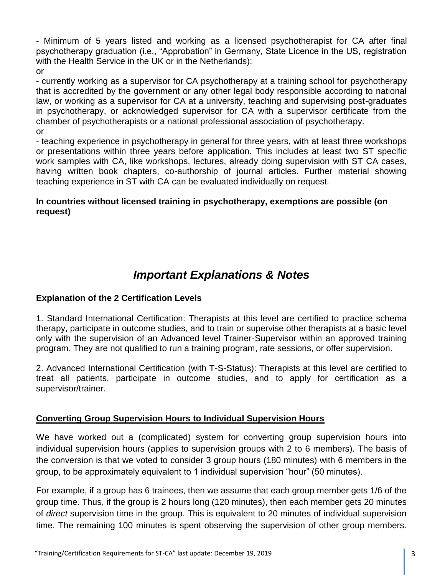- Minimum of 5 years listed and working as a licensed psychotherapist for CA after final psychotherapy graduation (i.e., "Approbation" in Germany, State Licence in the US, registration with the Health Service in the UK or in the Netherlands); or

- currently working as a supervisor for CA psychotherapy at a training school for psychotherapy that is accredited by the government or any other legal body responsible according to national law, or working as a supervisor for CA at a university, teaching and supervising post-graduates in psychotherapy, or acknowledged supervisor for CA with a supervisor certificate from the chamber of psychotherapists or a national professional association of psychotherapy. or

- teaching experience in psychotherapy in general for three years, with at least three workshops or presentations within three years before application. This includes at least two ST specific work samples with CA, like workshops, lectures, already doing supervision with ST CA cases, having written book chapters, co-authorship of journal articles. Further material showing teaching experience in ST with CA can be evaluated individually on request.

## **In countries without licensed training in psychotherapy, exemptions are possible (on request)**

## *Important Explanations & Notes*

## **Explanation of the 2 Certification Levels**

1. Standard International Certification: Therapists at this level are certified to practice schema therapy, participate in outcome studies, and to train or supervise other therapists at a basic level only with the supervision of an Advanced level Trainer-Supervisor within an approved training program. They are not qualified to run a training program, rate sessions, or offer supervision.

2. Advanced International Certification (with T-S-Status): Therapists at this level are certified to treat all patients, participate in outcome studies, and to apply for certification as a supervisor/trainer.

## **Converting Group Supervision Hours to Individual Supervision Hours**

We have worked out a (complicated) system for converting group supervision hours into individual supervision hours (applies to supervision groups with 2 to 6 members). The basis of the conversion is that we voted to consider 3 group hours (180 minutes) with 6 members in the group, to be approximately equivalent to 1 individual supervision "hour" (50 minutes).

For example, if a group has 6 trainees, then we assume that each group member gets 1/6 of the group time. Thus, if the group is 2 hours long (120 minutes), then each member gets 20 minutes of *direct* supervision time in the group. This is equivalent to 20 minutes of individual supervision time. The remaining 100 minutes is spent observing the supervision of other group members.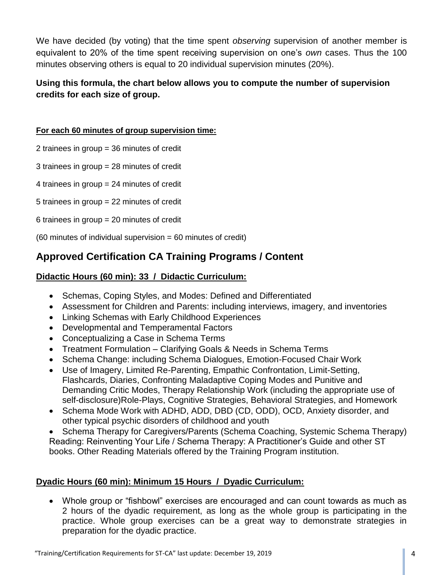We have decided (by voting) that the time spent *observing* supervision of another member is equivalent to 20% of the time spent receiving supervision on one's *own* cases. Thus the 100 minutes observing others is equal to 20 individual supervision minutes (20%).

## **Using this formula, the chart below allows you to compute the number of supervision credits for each size of group.**

#### **For each 60 minutes of group supervision time:**

2 trainees in group = 36 minutes of credit

3 trainees in group = 28 minutes of credit

4 trainees in group = 24 minutes of credit

5 trainees in group = 22 minutes of credit

6 trainees in group = 20 minutes of credit

 $(60 \text{ minutes of individual supervision} = 60 \text{ minutes of credit})$ 

## **Approved Certification CA Training Programs / Content**

## **Didactic Hours (60 min): 33 / Didactic Curriculum:**

- Schemas, Coping Styles, and Modes: Defined and Differentiated
- Assessment for Children and Parents: including interviews, imagery, and inventories
- Linking Schemas with Early Childhood Experiences
- Developmental and Temperamental Factors
- Conceptualizing a Case in Schema Terms
- Treatment Formulation Clarifying Goals & Needs in Schema Terms
- Schema Change: including Schema Dialogues, Emotion-Focused Chair Work
- Use of Imagery, Limited Re-Parenting, Empathic Confrontation, Limit-Setting, Flashcards, Diaries, Confronting Maladaptive Coping Modes and Punitive and Demanding Critic Modes, Therapy Relationship Work (including the appropriate use of self-disclosure)Role-Plays, Cognitive Strategies, Behavioral Strategies, and Homework
- Schema Mode Work with ADHD, ADD, DBD (CD, ODD), OCD, Anxiety disorder, and other typical psychic disorders of childhood and youth

• Schema Therapy for Caregivers/Parents (Schema Coaching, Systemic Schema Therapy) Reading: Reinventing Your Life / Schema Therapy: A Practitioner's Guide and other ST books. Other Reading Materials offered by the Training Program institution.

## **Dyadic Hours (60 min): Minimum 15 Hours / Dyadic Curriculum:**

 Whole group or "fishbowl" exercises are encouraged and can count towards as much as 2 hours of the dyadic requirement, as long as the whole group is participating in the practice. Whole group exercises can be a great way to demonstrate strategies in preparation for the dyadic practice.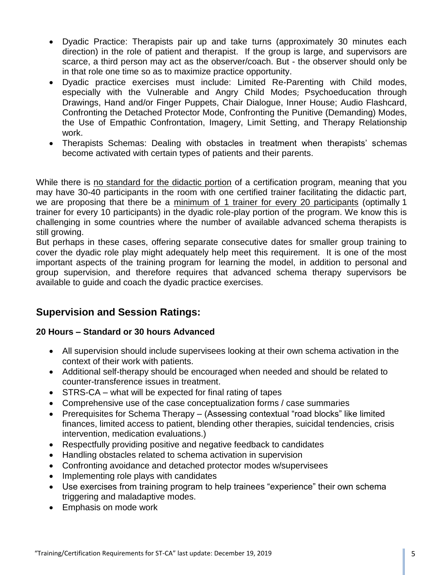- Dyadic Practice: Therapists pair up and take turns (approximately 30 minutes each direction) in the role of patient and therapist. If the group is large, and supervisors are scarce, a third person may act as the observer/coach. But - the observer should only be in that role one time so as to maximize practice opportunity.
- Dyadic practice exercises must include: Limited Re-Parenting with Child modes, especially with the Vulnerable and Angry Child Modes; Psychoeducation through Drawings, Hand and/or Finger Puppets, Chair Dialogue, Inner House; Audio Flashcard, Confronting the Detached Protector Mode, Confronting the Punitive (Demanding) Modes, the Use of Empathic Confrontation, Imagery, Limit Setting, and Therapy Relationship work.
- Therapists Schemas: Dealing with obstacles in treatment when therapists' schemas become activated with certain types of patients and their parents.

While there is no standard for the didactic portion of a certification program, meaning that you may have 30-40 participants in the room with one certified trainer facilitating the didactic part, we are proposing that there be a minimum of 1 trainer for every 20 participants (optimally 1 trainer for every 10 participants) in the dyadic role-play portion of the program. We know this is challenging in some countries where the number of available advanced schema therapists is still growing.

But perhaps in these cases, offering separate consecutive dates for smaller group training to cover the dyadic role play might adequately help meet this requirement. It is one of the most important aspects of the training program for learning the model, in addition to personal and group supervision, and therefore requires that advanced schema therapy supervisors be available to guide and coach the dyadic practice exercises.

## **Supervision and Session Ratings:**

## **20 Hours – Standard or 30 hours Advanced**

- All supervision should include supervisees looking at their own schema activation in the context of their work with patients.
- Additional self-therapy should be encouraged when needed and should be related to counter-transference issues in treatment.
- STRS-CA what will be expected for final rating of tapes
- Comprehensive use of the case conceptualization forms / case summaries
- Prerequisites for Schema Therapy (Assessing contextual "road blocks" like limited finances, limited access to patient, blending other therapies, suicidal tendencies, crisis intervention, medication evaluations.)
- Respectfully providing positive and negative feedback to candidates
- Handling obstacles related to schema activation in supervision
- Confronting avoidance and detached protector modes w/supervisees
- Implementing role plays with candidates
- Use exercises from training program to help trainees "experience" their own schema triggering and maladaptive modes.
- Emphasis on mode work